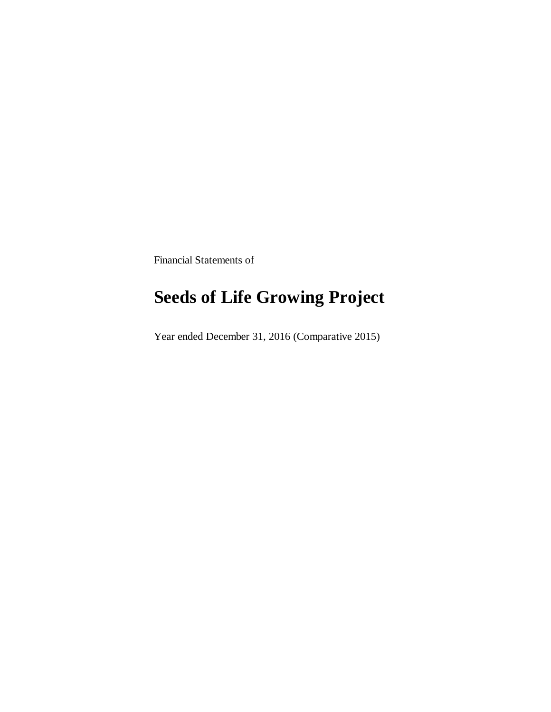Financial Statements of

## **Seeds of Life Growing Project**

Year ended December 31, 2016 (Comparative 2015)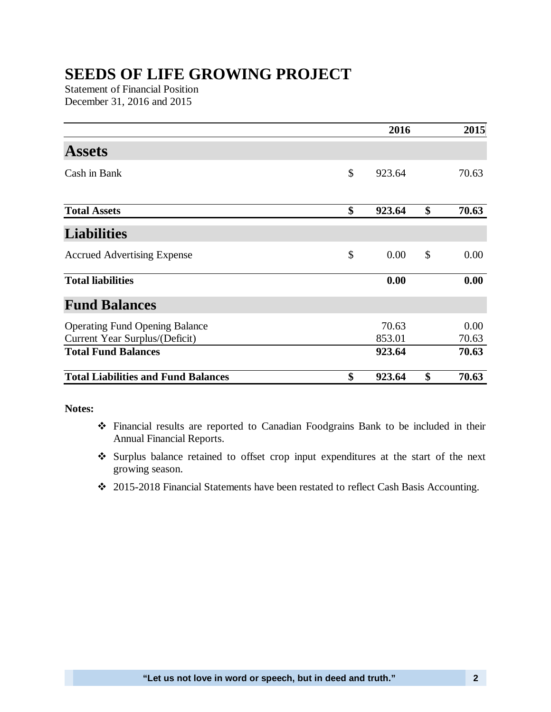## **SEEDS OF LIFE GROWING PROJECT**

Statement of Financial Position December 31, 2016 and 2015

|                                            |    | 2016   |    | 2015  |
|--------------------------------------------|----|--------|----|-------|
| <b>Assets</b>                              |    |        |    |       |
| Cash in Bank                               | \$ | 923.64 |    | 70.63 |
| <b>Total Assets</b>                        | \$ | 923.64 | \$ | 70.63 |
| <b>Liabilities</b>                         |    |        |    |       |
| <b>Accrued Advertising Expense</b>         | \$ | 0.00   | \$ | 0.00  |
| <b>Total liabilities</b>                   |    | 0.00   |    | 0.00  |
| <b>Fund Balances</b>                       |    |        |    |       |
| <b>Operating Fund Opening Balance</b>      |    | 70.63  |    | 0.00  |
| Current Year Surplus/(Deficit)             |    | 853.01 |    | 70.63 |
| <b>Total Fund Balances</b>                 |    | 923.64 |    | 70.63 |
| <b>Total Liabilities and Fund Balances</b> | \$ | 923.64 | \$ | 70.63 |

## **Notes:**

- Financial results are reported to Canadian Foodgrains Bank to be included in their Annual Financial Reports.
- Surplus balance retained to offset crop input expenditures at the start of the next growing season.
- 2015-2018 Financial Statements have been restated to reflect Cash Basis Accounting.